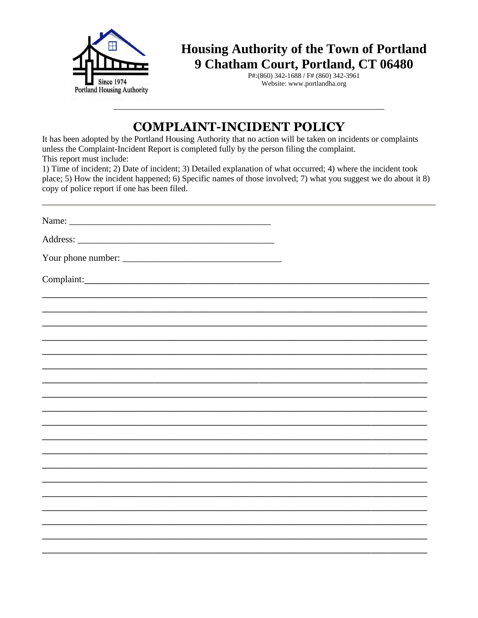

**Housing Authority of the Town of Portland 9 Chatham Court, Portland, CT 06480**

P#:(860) 342-1688 / F# (860) 342-3961 Website: www.portlandha.org

## **COMPLAINT-INCIDENT POLICY**

It has been adopted by the Portland Housing Authority that no action will be taken on incidents or complaints unless the Complaint-Incident Report is completed fully by the person filing the complaint. This report must include:

1) Time of incident; 2) Date of incident; 3) Detailed explanation of what occurred; 4) where the incident took place; 5) How the incident happened; 6) Specific names of those involved; 7) what you suggest we do about it 8) copy of police report if one has been filed.

| Name:      |  |
|------------|--|
| Address:   |  |
|            |  |
| Complaint: |  |
|            |  |
|            |  |
|            |  |
|            |  |
|            |  |
|            |  |
|            |  |
|            |  |
|            |  |
|            |  |
|            |  |
|            |  |
|            |  |
|            |  |
|            |  |
|            |  |
|            |  |
|            |  |
|            |  |